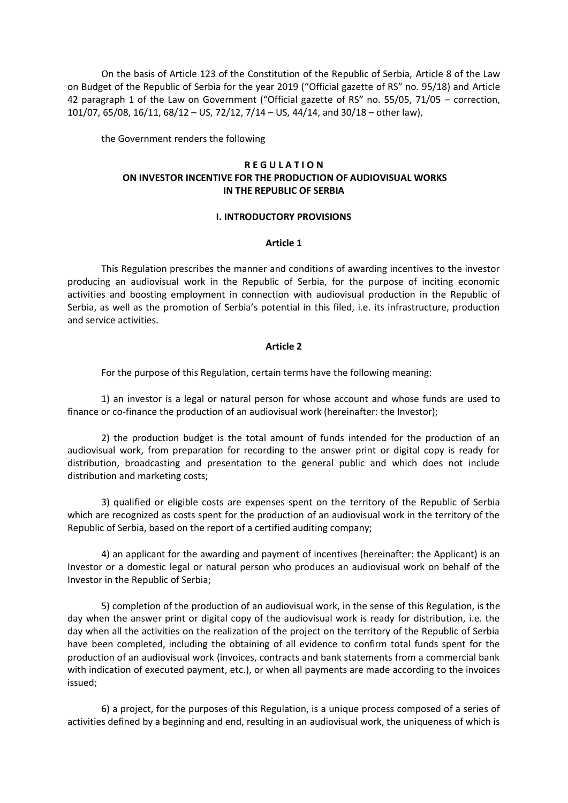On the basis of Article 123 of the Constitution of the Republic of Serbia, Article 8 of the Law on Budget of the Republic of Serbia for the year 2019 ("Official gazette of RS" no. 95/18) and Article 42 paragraph 1 of the Law on Government ("Official gazette of RS" no. 55/05, 71/05 – correction, 101/07, 65/08, 16/11, 68/12 – US, 72/12, 7/14 – US, 44/14, and 30/18 – other law),

the Government renders the following

## **R E G U L A T I O N ON INVESTOR INCENTIVE FOR THE PRODUCTION OF AUDIOVISUAL WORKS IN THE REPUBLIC OF SERBIA**

### **I. INTRODUCTORY PROVISIONS**

#### **Article 1**

This Regulation prescribes the manner and conditions of awarding incentives to the investor producing an audiovisual work in the Republic of Serbia, for the purpose of inciting economic activities and boosting employment in connection with audiovisual production in the Republic of Serbia, as well as the promotion of Serbia's potential in this filed, i.e. its infrastructure, production and service activities.

#### **Article 2**

For the purpose of this Regulation, certain terms have the following meaning:

1) an investor is a legal or natural person for whose account and whose funds are used to finance or co-finance the production of an audiovisual work (hereinafter: the Investor);

2) the production budget is the total amount of funds intended for the production of an audiovisual work, from preparation for recording to the answer print or digital copy is ready for distribution, broadcasting and presentation to the general public and which does not include distribution and marketing costs;

3) qualified or eligible costs are expenses spent on the territory of the Republic of Serbia which are recognized as costs spent for the production of an audiovisual work in the territory of the Republic of Serbia, based on the report of a certified auditing company;

4) an applicant for the awarding and payment of incentives (hereinafter: the Applicant) is an Investor or a domestic legal or natural person who produces an audiovisual work on behalf of the Investor in the Republic of Serbia;

5) completion of the production of an audiovisual work, in the sense of this Regulation, is the day when the answer print or digital copy of the audiovisual work is ready for distribution, i.e. the day when all the activities on the realization of the project on the territory of the Republic of Serbia have been completed, including the obtaining of all evidence to confirm total funds spent for the production of an audiovisual work (invoices, contracts and bank statements from a commercial bank with indication of executed payment, etc.), or when all payments are made according to the invoices issued;

6) a project, for the purposes of this Regulation, is a unique process composed of a series of activities defined by a beginning and end, resulting in an audiovisual work, the uniqueness of which is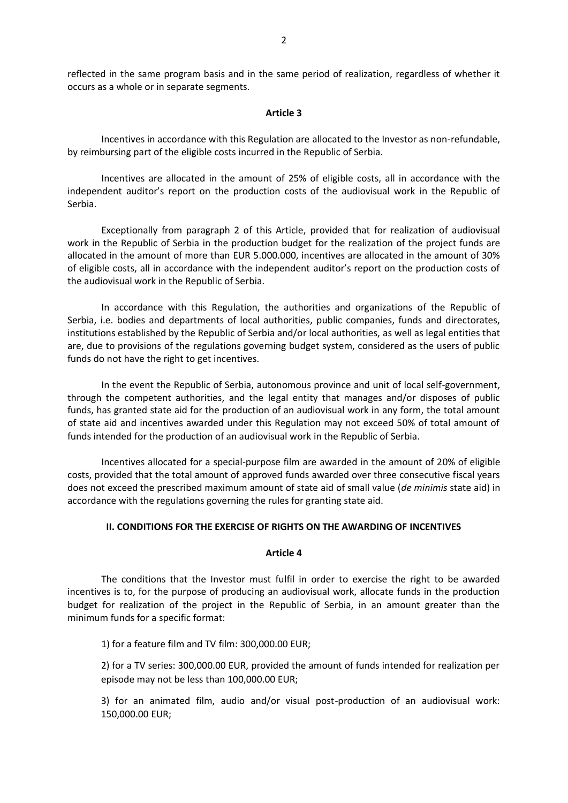reflected in the same program basis and in the same period of realization, regardless of whether it occurs as a whole or in separate segments.

### **Article 3**

Incentives in accordance with this Regulation are allocated to the Investor as non-refundable, by reimbursing part of the eligible costs incurred in the Republic of Serbia.

Incentives are allocated in the amount of 25% of eligible costs, all in accordance with the independent auditor's report on the production costs of the audiovisual work in the Republic of Serbia.

Exceptionally from paragraph 2 of this Article, provided that for realization of audiovisual work in the Republic of Serbia in the production budget for the realization of the project funds are allocated in the amount of more than EUR 5.000.000, incentives are allocated in the amount of 30% of eligible costs, all in accordance with the independent auditor's report on the production costs of the audiovisual work in the Republic of Serbia.

In accordance with this Regulation, the authorities and organizations of the Republic of Serbia, i.e. bodies and departments of local authorities, public companies, funds and directorates, institutions established by the Republic of Serbia and/or local authorities, as well as legal entities that are, due to provisions of the regulations governing budget system, considered as the users of public funds do not have the right to get incentives.

In the event the Republic of Serbia, autonomous province and unit of local self-government, through the competent authorities, and the legal entity that manages and/or disposes of public funds, has granted state aid for the production of an audiovisual work in any form, the total amount of state aid and incentives awarded under this Regulation may not exceed 50% of total amount of funds intended for the production of an audiovisual work in the Republic of Serbia.

Incentives allocated for a special-purpose film are awarded in the amount of 20% of eligible costs, provided that the total amount of approved funds awarded over three consecutive fiscal years does not exceed the prescribed maximum amount of state aid of small value (*de minimis* state aid) in accordance with the regulations governing the rules for granting state aid.

## **II. CONDITIONS FOR THE EXERCISE OF RIGHTS ON THE AWARDING OF INCENTIVES**

### **Article 4**

The conditions that the Investor must fulfil in order to exercise the right to be awarded incentives is to, for the purpose of producing an audiovisual work, allocate funds in the production budget for realization of the project in the Republic of Serbia, in an amount greater than the minimum funds for a specific format:

1) for a feature film and TV film: 300,000.00 EUR;

2) for a TV series: 300,000.00 EUR, provided the amount of funds intended for realization per episode may not be less than 100,000.00 EUR;

3) for an animated film, audio and/or visual post-production of an audiovisual work: 150,000.00 EUR;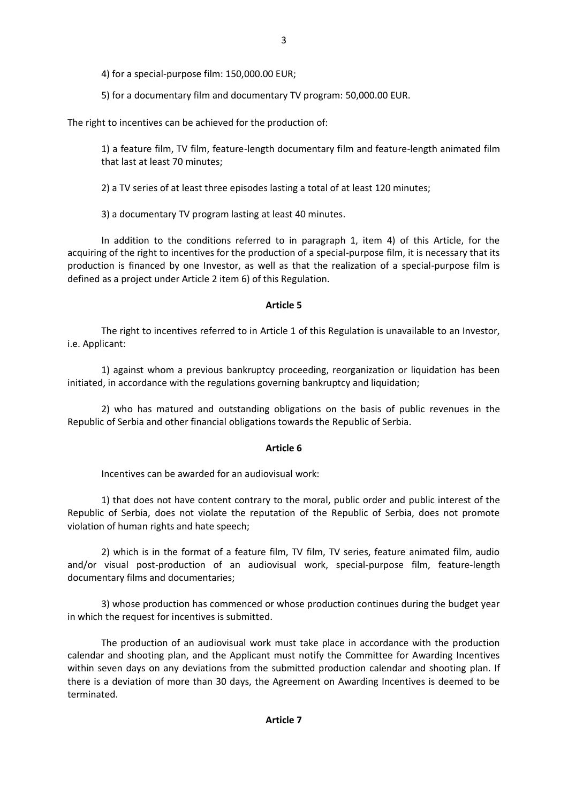5) for a documentary film and documentary TV program: 50,000.00 EUR.

The right to incentives can be achieved for the production of:

1) a feature film, TV film, feature-length documentary film and feature-length animated film that last at least 70 minutes;

2) a TV series of at least three episodes lasting a total of at least 120 minutes;

3) a documentary TV program lasting at least 40 minutes.

In addition to the conditions referred to in paragraph 1, item 4) of this Article, for the acquiring of the right to incentives for the production of a special-purpose film, it is necessary that its production is financed by one Investor, as well as that the realization of a special-purpose film is defined as a project under Article 2 item 6) of this Regulation.

# **Article 5**

The right to incentives referred to in Article 1 of this Regulation is unavailable to an Investor, i.e. Applicant:

1) against whom a previous bankruptcy proceeding, reorganization or liquidation has been initiated, in accordance with the regulations governing bankruptcy and liquidation;

2) who has matured and outstanding obligations on the basis of public revenues in the Republic of Serbia and other financial obligations towards the Republic of Serbia.

# **Article 6**

Incentives can be awarded for an audiovisual work:

1) that does not have content contrary to the moral, public order and public interest of the Republic of Serbia, does not violate the reputation of the Republic of Serbia, does not promote violation of human rights and hate speech;

2) which is in the format of a feature film, TV film, TV series, feature animated film, audio and/or visual post-production of an audiovisual work, special-purpose film, feature-length documentary films and documentaries;

3) whose production has commenced or whose production continues during the budget year in which the request for incentives is submitted.

The production of an audiovisual work must take place in accordance with the production calendar and shooting plan, and the Applicant must notify the Committee for Awarding Incentives within seven days on any deviations from the submitted production calendar and shooting plan. If there is a deviation of more than 30 days, the Agreement on Awarding Incentives is deemed to be terminated.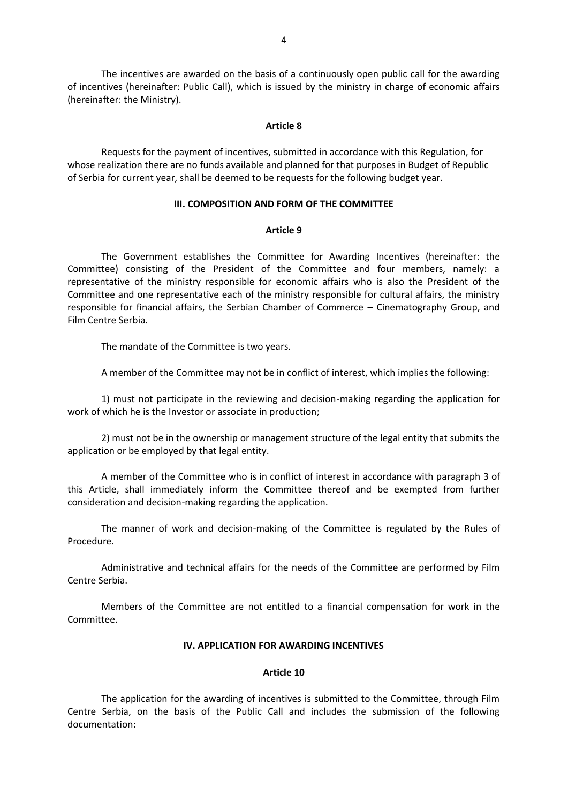The incentives are awarded on the basis of a continuously open public call for the awarding of incentives (hereinafter: Public Call), which is issued by the ministry in charge of economic affairs (hereinafter: the Ministry).

#### **Article 8**

Requests for the payment of incentives, submitted in accordance with this Regulation, for whose realization there are no funds available and planned for that purposes in Budget of Republic of Serbia for current year, shall be deemed to be requests for the following budget year.

### **III. COMPOSITION AND FORM OF THE COMMITTEE**

#### **Article 9**

The Government establishes the Committee for Awarding Incentives (hereinafter: the Committee) consisting of the President of the Committee and four members, namely: a representative of the ministry responsible for economic affairs who is also the President of the Committee and one representative each of the ministry responsible for cultural affairs, the ministry responsible for financial affairs, the Serbian Chamber of Commerce – Cinematography Group, and Film Centre Serbia.

The mandate of the Committee is two years.

A member of the Committee may not be in conflict of interest, which implies the following:

1) must not participate in the reviewing and decision-making regarding the application for work of which he is the Investor or associate in production;

2) must not be in the ownership or management structure of the legal entity that submits the application or be employed by that legal entity.

A member of the Committee who is in conflict of interest in accordance with paragraph 3 of this Article, shall immediately inform the Committee thereof and be exempted from further consideration and decision-making regarding the application.

The manner of work and decision-making of the Committee is regulated by the Rules of Procedure.

Administrative and technical affairs for the needs of the Committee are performed by Film Centre Serbia.

Members of the Committee are not entitled to a financial compensation for work in the Committee.

### **IV. APPLICATION FOR AWARDING INCENTIVES**

### **Article 10**

The application for the awarding of incentives is submitted to the Committee, through Film Centre Serbia, on the basis of the Public Call and includes the submission of the following documentation: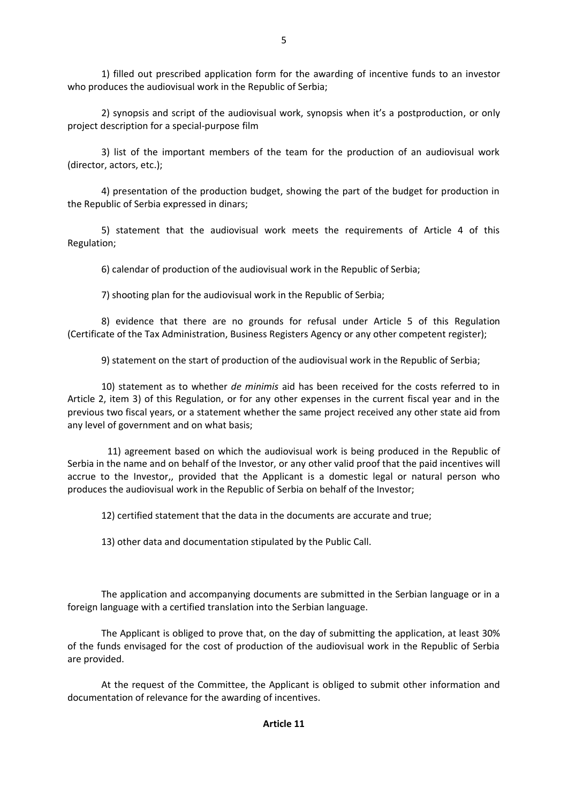1) filled out prescribed application form for the awarding of incentive funds to an investor who produces the audiovisual work in the Republic of Serbia;

2) synopsis and script of the audiovisual work, synopsis when it's a postproduction, or only project description for a special-purpose film

3) list of the important members of the team for the production of an audiovisual work (director, actors, etc.);

4) presentation of the production budget, showing the part of the budget for production in the Republic of Serbia expressed in dinars;

5) statement that the audiovisual work meets the requirements of Article 4 of this Regulation;

6) calendar of production of the audiovisual work in the Republic of Serbia;

7) shooting plan for the audiovisual work in the Republic of Serbia;

8) evidence that there are no grounds for refusal under Article 5 of this Regulation (Certificate of the Tax Administration, Business Registers Agency or any other competent register);

9) statement on the start of production of the audiovisual work in the Republic of Serbia;

10) statement as to whether *de minimis* aid has been received for the costs referred to in Article 2, item 3) of this Regulation, or for any other expenses in the current fiscal year and in the previous two fiscal years, or a statement whether the same project received any other state aid from any level of government and on what basis;

11) agreement based on which the audiovisual work is being produced in the Republic of Serbia in the name and on behalf of the Investor, or any other valid proof that the paid incentives will accrue to the Investor,, provided that the Applicant is a domestic legal or natural person who produces the audiovisual work in the Republic of Serbia on behalf of the Investor;

12) certified statement that the data in the documents are accurate and true;

13) other data and documentation stipulated by the Public Call.

The application and accompanying documents are submitted in the Serbian language or in a foreign language with a certified translation into the Serbian language.

The Applicant is obliged to prove that, on the day of submitting the application, at least 30% of the funds envisaged for the cost of production of the audiovisual work in the Republic of Serbia are provided.

At the request of the Committee, the Applicant is obliged to submit other information and documentation of relevance for the awarding of incentives.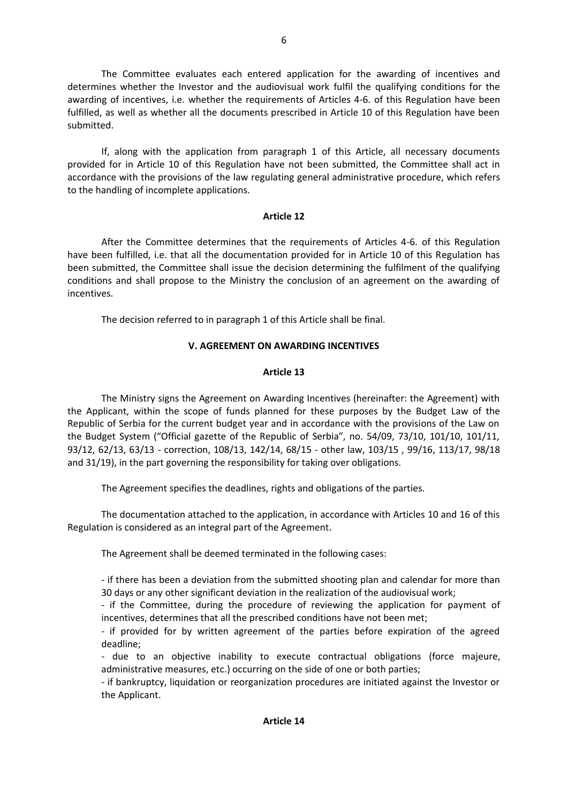The Committee evaluates each entered application for the awarding of incentives and determines whether the Investor and the audiovisual work fulfil the qualifying conditions for the awarding of incentives, i.e. whether the requirements of Articles 4-6. of this Regulation have been fulfilled, as well as whether all the documents prescribed in Article 10 of this Regulation have been submitted.

If, along with the application from paragraph 1 of this Article, all necessary documents provided for in Article 10 of this Regulation have not been submitted, the Committee shall act in accordance with the provisions of the law regulating general administrative procedure, which refers to the handling of incomplete applications.

## **Article 12**

After the Committee determines that the requirements of Articles 4-6. of this Regulation have been fulfilled, i.e. that all the documentation provided for in Article 10 of this Regulation has been submitted, the Committee shall issue the decision determining the fulfilment of the qualifying conditions and shall propose to the Ministry the conclusion of an agreement on the awarding of incentives.

The decision referred to in paragraph 1 of this Article shall be final.

# **V. AGREEMENT ON AWARDING INCENTIVES**

# **Article 13**

The Ministry signs the Agreement on Awarding Incentives (hereinafter: the Agreement) with the Applicant, within the scope of funds planned for these purposes by the Budget Law of the Republic of Serbia for the current budget year and in accordance with the provisions of the Law on the Budget System ("Official gazette of the Republic of Serbia", no. 54/09, 73/10, 101/10, 101/11, 93/12, 62/13, 63/13 - correction, 108/13, 142/14, 68/15 - other law, 103/15 , 99/16, 113/17, 98/18 and 31/19), in the part governing the responsibility for taking over obligations.

The Agreement specifies the deadlines, rights and obligations of the parties.

The documentation attached to the application, in accordance with Articles 10 and 16 of this Regulation is considered as an integral part of the Agreement.

The Agreement shall be deemed terminated in the following cases:

- if there has been a deviation from the submitted shooting plan and calendar for more than 30 days or any other significant deviation in the realization of the audiovisual work;

- if the Committee, during the procedure of reviewing the application for payment of incentives, determines that all the prescribed conditions have not been met;

- if provided for by written agreement of the parties before expiration of the agreed deadline;

- due to an objective inability to execute contractual obligations (force majeure, administrative measures, etc.) occurring on the side of one or both parties;

- if bankruptcy, liquidation or reorganization procedures are initiated against the Investor or the Applicant.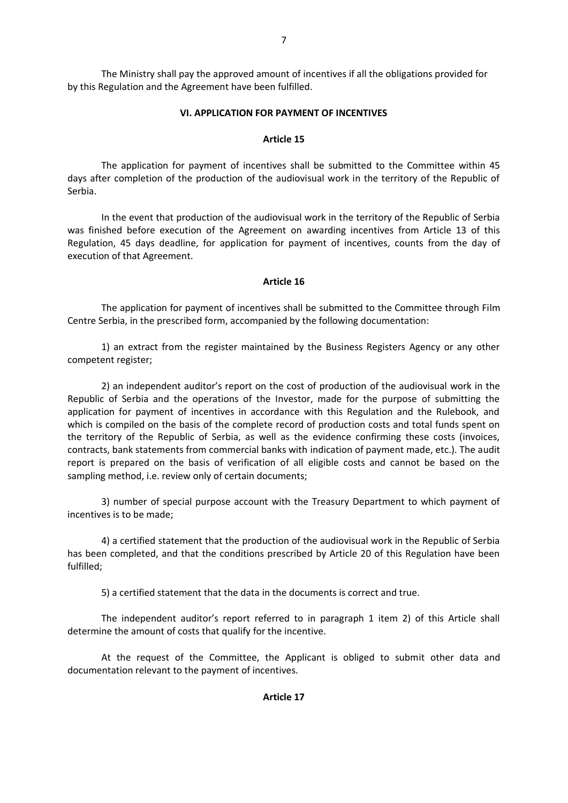The Ministry shall pay the approved amount of incentives if all the obligations provided for by this Regulation and the Agreement have been fulfilled.

## **VI. APPLICATION FOR PAYMENT OF INCENTIVES**

## **Article 15**

The application for payment of incentives shall be submitted to the Committee within 45 days after completion of the production of the audiovisual work in the territory of the Republic of Serbia.

In the event that production of the audiovisual work in the territory of the Republic of Serbia was finished before execution of the Agreement on awarding incentives from Article 13 of this Regulation, 45 days deadline, for application for payment of incentives, counts from the day of execution of that Agreement.

## **Article 16**

The application for payment of incentives shall be submitted to the Committee through Film Centre Serbia, in the prescribed form, accompanied by the following documentation:

1) an extract from the register maintained by the Business Registers Agency or any other competent register;

2) an independent auditor's report on the cost of production of the audiovisual work in the Republic of Serbia and the operations of the Investor, made for the purpose of submitting the application for payment of incentives in accordance with this Regulation and the Rulebook, and which is compiled on the basis of the complete record of production costs and total funds spent on the territory of the Republic of Serbia, as well as the evidence confirming these costs (invoices, contracts, bank statements from commercial banks with indication of payment made, etc.). The audit report is prepared on the basis of verification of all eligible costs and cannot be based on the sampling method, i.e. review only of certain documents;

3) number of special purpose account with the Treasury Department to which payment of incentives is to be made;

4) a certified statement that the production of the audiovisual work in the Republic of Serbia has been completed, and that the conditions prescribed by Article 20 of this Regulation have been fulfilled;

5) a certified statement that the data in the documents is correct and true.

The independent auditor's report referred to in paragraph 1 item 2) of this Article shall determine the amount of costs that qualify for the incentive.

At the request of the Committee, the Applicant is obliged to submit other data and documentation relevant to the payment of incentives.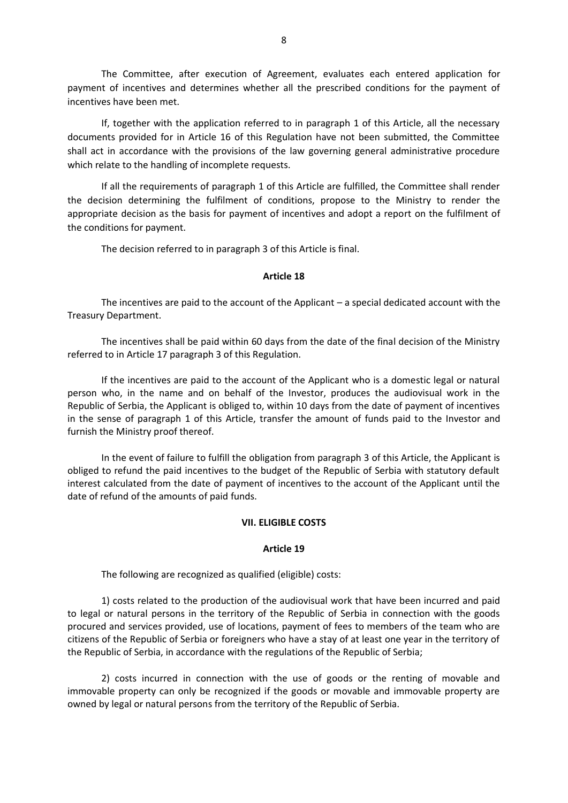The Committee, after execution of Agreement, evaluates each entered application for payment of incentives and determines whether all the prescribed conditions for the payment of incentives have been met.

If, together with the application referred to in paragraph 1 of this Article, all the necessary documents provided for in Article 16 of this Regulation have not been submitted, the Committee shall act in accordance with the provisions of the law governing general administrative procedure which relate to the handling of incomplete requests.

If all the requirements of paragraph 1 of this Article are fulfilled, the Committee shall render the decision determining the fulfilment of conditions, propose to the Ministry to render the appropriate decision as the basis for payment of incentives and adopt a report on the fulfilment of the conditions for payment.

The decision referred to in paragraph 3 of this Article is final.

### **Article 18**

The incentives are paid to the account of the Applicant – a special dedicated account with the Treasury Department.

The incentives shall be paid within 60 days from the date of the final decision of the Ministry referred to in Article 17 paragraph 3 of this Regulation.

If the incentives are paid to the account of the Applicant who is a domestic legal or natural person who, in the name and on behalf of the Investor, produces the audiovisual work in the Republic of Serbia, the Applicant is obliged to, within 10 days from the date of payment of incentives in the sense of paragraph 1 of this Article, transfer the amount of funds paid to the Investor and furnish the Ministry proof thereof.

In the event of failure to fulfill the obligation from paragraph 3 of this Article, the Applicant is obliged to refund the paid incentives to the budget of the Republic of Serbia with statutory default interest calculated from the date of payment of incentives to the account of the Applicant until the date of refund of the amounts of paid funds.

### **VII. ELIGIBLE COSTS**

### **Article 19**

The following are recognized as qualified (eligible) costs:

1) costs related to the production of the audiovisual work that have been incurred and paid to legal or natural persons in the territory of the Republic of Serbia in connection with the goods procured and services provided, use of locations, payment of fees to members of the team who are citizens of the Republic of Serbia or foreigners who have a stay of at least one year in the territory of the Republic of Serbia, in accordance with the regulations of the Republic of Serbia;

2) costs incurred in connection with the use of goods or the renting of movable and immovable property can only be recognized if the goods or movable and immovable property are owned by legal or natural persons from the territory of the Republic of Serbia.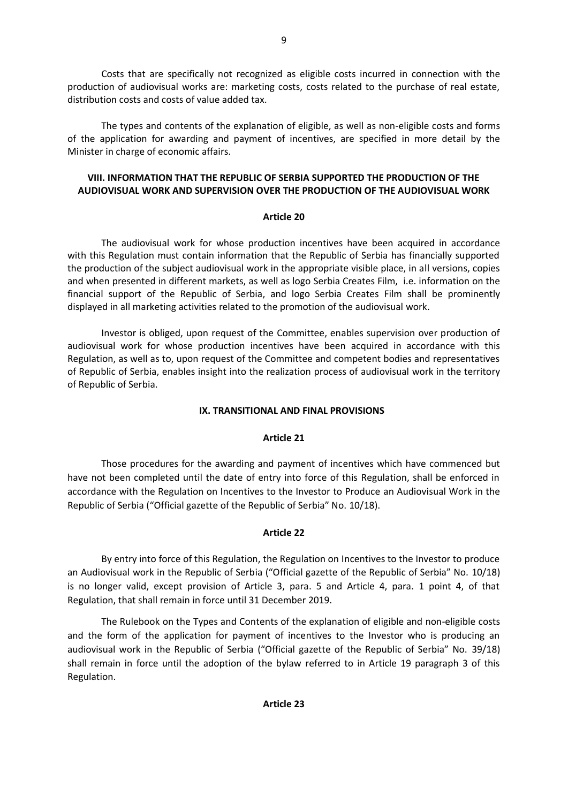Costs that are specifically not recognized as eligible costs incurred in connection with the production of audiovisual works are: marketing costs, costs related to the purchase of real estate, distribution costs and costs of value added tax.

The types and contents of the explanation of eligible, as well as non-eligible costs and forms of the application for awarding and payment of incentives, are specified in more detail by the Minister in charge of economic affairs.

## **VIII. INFORMATION THAT THE REPUBLIC OF SERBIA SUPPORTED THE PRODUCTION OF THE AUDIOVISUAL WORK AND SUPERVISION OVER THE PRODUCTION OF THE AUDIOVISUAL WORK**

### **Article 20**

The audiovisual work for whose production incentives have been acquired in accordance with this Regulation must contain information that the Republic of Serbia has financially supported the production of the subject audiovisual work in the appropriate visible place, in all versions, copies and when presented in different markets, as well as logo Serbia Creates Film, i.e. information on the financial support of the Republic of Serbia, and logo Serbia Creates Film shall be prominently displayed in all marketing activities related to the promotion of the audiovisual work.

Investor is obliged, upon request of the Committee, enables supervision over production of audiovisual work for whose production incentives have been acquired in accordance with this Regulation, as well as to, upon request of the Committee and competent bodies and representatives of Republic of Serbia, enables insight into the realization process of audiovisual work in the territory of Republic of Serbia.

## **IX. TRANSITIONAL AND FINAL PROVISIONS**

## **Article 21**

Those procedures for the awarding and payment of incentives which have commenced but have not been completed until the date of entry into force of this Regulation, shall be enforced in accordance with the Regulation on Incentives to the Investor to Produce an Audiovisual Work in the Republic of Serbia ("Official gazette of the Republic of Serbia" No. 10/18).

## **Article 22**

By entry into force of this Regulation, the Regulation on Incentives to the Investor to produce an Audiovisual work in the Republic of Serbia ("Official gazette of the Republic of Serbia" No. 10/18) is no longer valid, except provision of Article 3, para. 5 and Article 4, para. 1 point 4, of that Regulation, that shall remain in force until 31 December 2019.

The Rulebook on the Types and Contents of the explanation of eligible and non-eligible costs and the form of the application for payment of incentives to the Investor who is producing an audiovisual work in the Republic of Serbia ("Official gazette of the Republic of Serbia" No. 39/18) shall remain in force until the adoption of the bylaw referred to in Article 19 paragraph 3 of this Regulation.